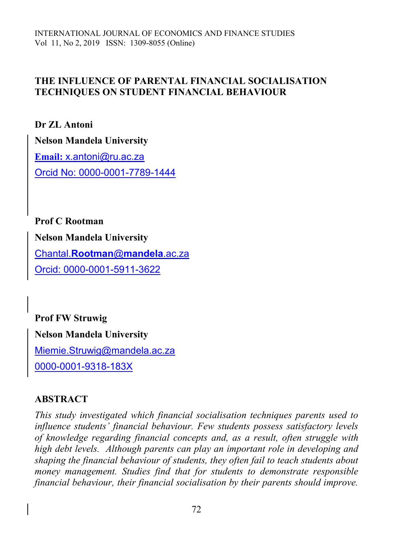### **THE INFLUENCE OF PARENTAL FINANCIAL SOCIALISATION TECHNIQUES ON STUDENT FINANCIAL BEHAVIOUR**

**Dr ZL Antoni Nelson Mandela University Email:** [x.antoni@ru.ac.za](mailto:x.antoni@ru.ac.za) Orcid No: 0000-0001-7789-1444

**Prof C Rootman Nelson Mandela University** Chantal.**[Rootman](mailto:Chantal.Rootman@mandela.ac.za)**@**mandela**.ac.za Orcid: 0000-0001-5911-3622

**Prof FW Struwig Nelson Mandela University** [Miemie.Struwig@mandela.ac.za](mailto:Miemie.Struwig@mandela.ac.za) 0000-0001-9318-183X

# **ABSTRACT**

*This study investigated which financial socialisation techniques parents used to influence students' financial behaviour. Few students possess satisfactory levels of knowledge regarding financial concepts and, as a result, often struggle with high debt levels. Although parents can play an important role in developing and shaping the financial behaviour of students, they often fail to teach students about money management. Studies find that for students to demonstrate responsible financial behaviour, their financial socialisation by their parents should improve.*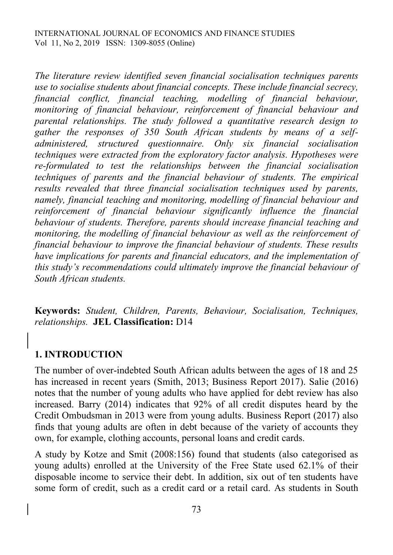*The literature review identified seven financial socialisation techniques parents use to socialise students about financial concepts. These include financial secrecy, financial conflict, financial teaching, modelling of financial behaviour, monitoring of financial behaviour, reinforcement of financial behaviour and parental relationships. The study followed a quantitative research design to gather the responses of 350 South African students by means of a selfadministered, structured questionnaire. Only six financial socialisation techniques were extracted from the exploratory factor analysis. Hypotheses were re-formulated to test the relationships between the financial socialisation techniques of parents and the financial behaviour of students. The empirical results revealed that three financial socialisation techniques used by parents, namely, financial teaching and monitoring, modelling of financial behaviour and reinforcement of financial behaviour significantly influence the financial behaviour of students. Therefore, parents should increase financial teaching and monitoring, the modelling of financial behaviour as well as the reinforcement of financial behaviour to improve the financial behaviour of students. These results have implications for parents and financial educators, and the implementation of this study's recommendations could ultimately improve the financial behaviour of South African students.*

**Keywords:** *Student, Children, Parents, Behaviour, Socialisation, Techniques, relationships.* **JEL Classification:** D14

# **1. INTRODUCTION**

The number of over-indebted South African adults between the ages of 18 and 25 has increased in recent years (Smith, 2013; Business Report 2017). Salie (2016) notes that the number of young adults who have applied for debt review has also increased. Barry (2014) indicates that 92% of all credit disputes heard by the Credit Ombudsman in 2013 were from young adults. Business Report (2017) also finds that young adults are often in debt because of the variety of accounts they own, for example, clothing accounts, personal loans and credit cards.

A study by Kotze and Smit (2008:156) found that students (also categorised as young adults) enrolled at the University of the Free State used 62.1% of their disposable income to service their debt. In addition, six out of ten students have some form of credit, such as a credit card or a retail card. As students in South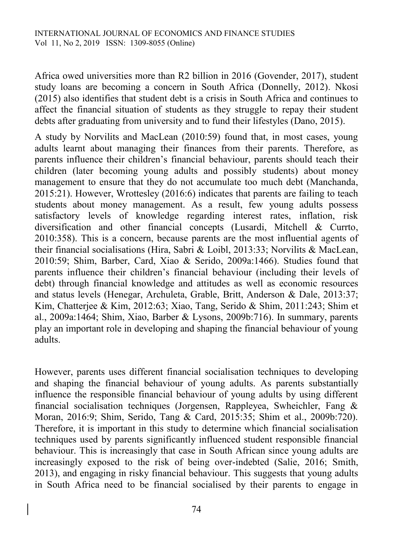Africa owed universities more than R2 billion in 2016 (Govender, 2017), student study loans are becoming a concern in South Africa (Donnelly, 2012). Nkosi (2015) also identifies that student debt is a crisis in South Africa and continues to affect the financial situation of students as they struggle to repay their student debts after graduating from university and to fund their lifestyles (Dano, 2015).

A study by Norvilits and MacLean (2010:59) found that, in most cases, young adults learnt about managing their finances from their parents. Therefore, as parents influence their children's financial behaviour, parents should teach their children (later becoming young adults and possibly students) about money management to ensure that they do not accumulate too much debt (Manchanda, 2015:21). However, Wrottesley (2016:6) indicates that parents are failing to teach students about money management. As a result, few young adults possess satisfactory levels of knowledge regarding interest rates, inflation, risk diversification and other financial concepts (Lusardi, Mitchell & Currto, 2010:358). This is a concern, because parents are the most influential agents of their financial socialisations (Hira, Sabri & Loibl, 2013:33; Norvilits & MacLean, 2010:59; Shim, Barber, Card, Xiao & Serido, 2009a:1466). Studies found that parents influence their children's financial behaviour (including their levels of debt) through financial knowledge and attitudes as well as economic resources and status levels (Henegar, Archuleta, Grable, Britt, Anderson & Dale, 2013:37; Kim, Chatterjee & Kim, 2012:63; Xiao, Tang, Serido & Shim, 2011:243; Shim et al., 2009a:1464; Shim, Xiao, Barber & Lysons, 2009b:716). In summary, parents play an important role in developing and shaping the financial behaviour of young adults.

However, parents uses different financial socialisation techniques to developing and shaping the financial behaviour of young adults. As parents substantially influence the responsible financial behaviour of young adults by using different financial socialisation techniques (Jorgensen, Rappleyea, Swheichler, Fang & Moran, 2016:9; Shim, Serido, Tang & Card, 2015:35; Shim et al., 2009b:720). Therefore, it is important in this study to determine which financial socialisation techniques used by parents significantly influenced student responsible financial behaviour. This is increasingly that case in South African since young adults are increasingly exposed to the risk of being over-indebted (Salie, 2016; Smith, 2013), and engaging in risky financial behaviour. This suggests that young adults in South Africa need to be financial socialised by their parents to engage in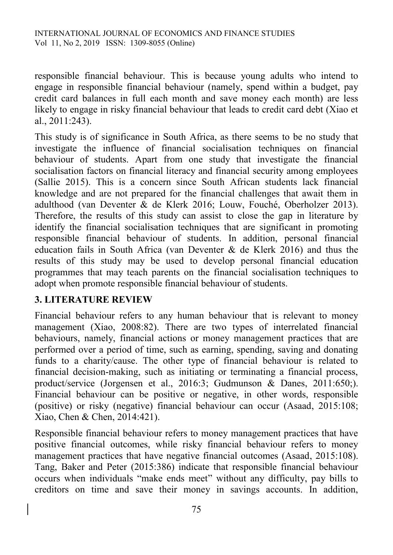responsible financial behaviour. This is because young adults who intend to engage in responsible financial behaviour (namely, spend within a budget, pay credit card balances in full each month and save money each month) are less likely to engage in risky financial behaviour that leads to credit card debt (Xiao et al., 2011:243).

This study is of significance in South Africa, as there seems to be no study that investigate the influence of financial socialisation techniques on financial behaviour of students. Apart from one study that investigate the financial socialisation factors on financial literacy and financial security among employees (Sallie 2015). This is a concern since South African students lack financial knowledge and are not prepared for the financial challenges that await them in adulthood (van Deventer & de Klerk 2016; Louw, Fouché, Oberholzer 2013). Therefore, the results of this study can assist to close the gap in literature by identify the financial socialisation techniques that are significant in promoting responsible financial behaviour of students. In addition, personal financial education fails in South Africa (van Deventer & de Klerk 2016) and thus the results of this study may be used to develop personal financial education programmes that may teach parents on the financial socialisation techniques to adopt when promote responsible financial behaviour of students.

### **3. LITERATURE REVIEW**

Financial behaviour refers to any human behaviour that is relevant to money management (Xiao, 2008:82). There are two types of interrelated financial behaviours, namely, financial actions or money management practices that are performed over a period of time, such as earning, spending, saving and donating funds to a charity/cause. The other type of financial behaviour is related to financial decision-making, such as initiating or terminating a financial process, product/service (Jorgensen et al., 2016:3; Gudmunson & Danes, 2011:650;). Financial behaviour can be positive or negative, in other words, responsible (positive) or risky (negative) financial behaviour can occur (Asaad, 2015:108; Xiao, Chen & Chen, 2014:421).

Responsible financial behaviour refers to money management practices that have positive financial outcomes, while risky financial behaviour refers to money management practices that have negative financial outcomes (Asaad, 2015:108). Tang, Baker and Peter (2015:386) indicate that responsible financial behaviour occurs when individuals "make ends meet" without any difficulty, pay bills to creditors on time and save their money in savings accounts. In addition,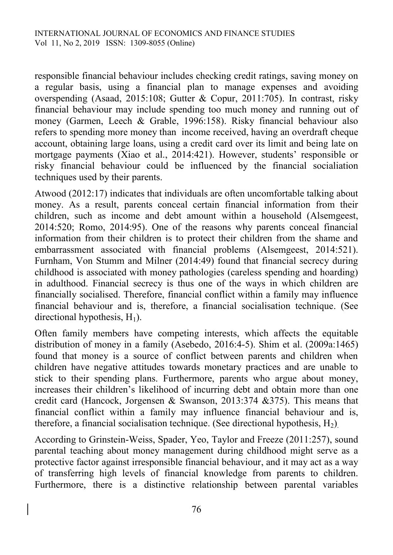responsible financial behaviour includes checking credit ratings, saving money on a regular basis, using a financial plan to manage expenses and avoiding overspending (Asaad, 2015:108; Gutter & Copur, 2011:705). In contrast, risky financial behaviour may include spending too much money and running out of money (Garmen, Leech & Grable, 1996:158). Risky financial behaviour also refers to spending more money than income received, having an overdraft cheque account, obtaining large loans, using a credit card over its limit and being late on mortgage payments (Xiao et al., 2014:421). However, students' responsible or risky financial behaviour could be influenced by the financial socialiation techniques used by their parents.

Atwood (2012:17) indicates that individuals are often uncomfortable talking about money. As a result, parents conceal certain financial information from their children, such as income and debt amount within a household (Alsemgeest, 2014:520; Romo, 2014:95). One of the reasons why parents conceal financial information from their children is to protect their children from the shame and embarrassment associated with financial problems (Alsemgeest, 2014:521). Furnham, Von Stumm and Milner (2014:49) found that financial secrecy during childhood is associated with money pathologies (careless spending and hoarding) in adulthood. Financial secrecy is thus one of the ways in which children are financially socialised. Therefore, financial conflict within a family may influence financial behaviour and is, therefore, a financial socialisation technique. (See directional hypothesis,  $H_1$ ).

Often family members have competing interests, which affects the equitable distribution of money in a family (Asebedo, 2016:4-5). Shim et al. (2009a:1465) found that money is a source of conflict between parents and children when children have negative attitudes towards monetary practices and are unable to stick to their spending plans. Furthermore, parents who argue about money, increases their children's likelihood of incurring debt and obtain more than one credit card (Hancock, Jorgensen & Swanson, 2013:374 &375). This means that financial conflict within a family may influence financial behaviour and is, therefore, a financial socialisation technique. (See directional hypothesis,  $H_2$ ).

According to Grinstein-Weiss, Spader, Yeo, Taylor and Freeze (2011:257), sound parental teaching about money management during childhood might serve as a protective factor against irresponsible financial behaviour, and it may act as a way of transferring high levels of financial knowledge from parents to children. Furthermore, there is a distinctive relationship between parental variables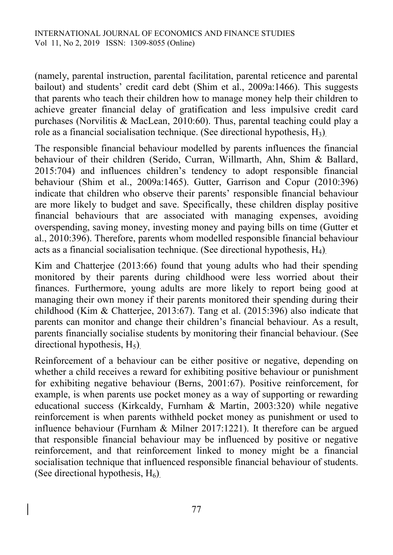(namely, parental instruction, parental facilitation, parental reticence and parental bailout) and students' credit card debt (Shim et al., 2009a:1466). This suggests that parents who teach their children how to manage money help their children to achieve greater financial delay of gratification and less impulsive credit card purchases (Norvilitis & MacLean, 2010:60). Thus, parental teaching could play a role as a financial socialisation technique. (See directional hypothesis,  $H_3$ ).

The responsible financial behaviour modelled by parents influences the financial behaviour of their children (Serido, Curran, Willmarth, Ahn, Shim & Ballard, 2015:704) and influences children's tendency to adopt responsible financial behaviour (Shim et al., 2009a:1465). Gutter, Garrison and Copur (2010:396) indicate that children who observe their parents' responsible financial behaviour are more likely to budget and save. Specifically, these children display positive financial behaviours that are associated with managing expenses, avoiding overspending, saving money, investing money and paying bills on time (Gutter et al., 2010:396). Therefore, parents whom modelled responsible financial behaviour acts as a financial socialisation technique. (See directional hypothesis, H4).

Kim and Chatterjee (2013:66) found that young adults who had their spending monitored by their parents during childhood were less worried about their finances. Furthermore, young adults are more likely to report being good at managing their own money if their parents monitored their spending during their childhood (Kim & Chatterjee, 2013:67). Tang et al. (2015:396) also indicate that parents can monitor and change their children's financial behaviour. As a result, parents financially socialise students by monitoring their financial behaviour. (See directional hypothesis,  $H_5$ ).

Reinforcement of a behaviour can be either positive or negative, depending on whether a child receives a reward for exhibiting positive behaviour or punishment for exhibiting negative behaviour (Berns, 2001:67). Positive reinforcement, for example, is when parents use pocket money as a way of supporting or rewarding educational success (Kirkcaldy, Furnham & Martin, 2003:320) while negative reinforcement is when parents withheld pocket money as punishment or used to influence behaviour (Furnham & Milner 2017:1221). It therefore can be argued that responsible financial behaviour may be influenced by positive or negative reinforcement, and that reinforcement linked to money might be a financial socialisation technique that influenced responsible financial behaviour of students. (See directional hypothesis,  $H_6$ ).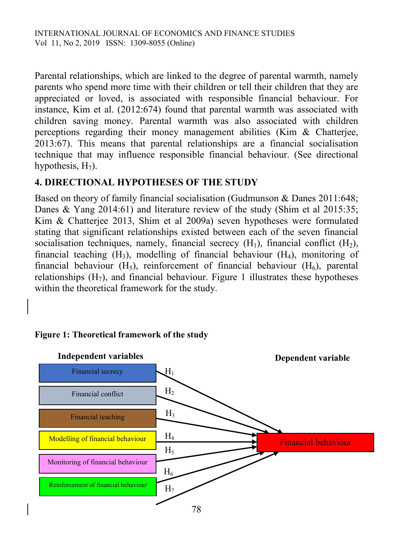Parental relationships, which are linked to the degree of parental warmth, namely parents who spend more time with their children or tell their children that they are appreciated or loved, is associated with responsible financial behaviour. For instance, Kim et al. (2012:674) found that parental warmth was associated with children saving money. Parental warmth was also associated with children perceptions regarding their money management abilities (Kim & Chatterjee, 2013:67). This means that parental relationships are a financial socialisation technique that may influence responsible financial behaviour. (See directional hypothesis,  $H_7$ ).

# **4. DIRECTIONAL HYPOTHESES OF THE STUDY**

Based on theory of family financial socialisation (Gudmunson & Danes 2011:648; Danes & Yang 2014:61) and literature review of the study (Shim et al 2015:35; Kim & Chatterjee 2013, Shim et al 2009a) seven hypotheses were formulated stating that significant relationships existed between each of the seven financial socialisation techniques, namely, financial secrecy  $(H_1)$ , financial conflict  $(H_2)$ , financial teaching  $(H_3)$ , modelling of financial behaviour  $(H_4)$ , monitoring of financial behaviour  $(H_5)$ , reinforcement of financial behaviour  $(H_6)$ , parental relationships  $(H_7)$ , and financial behaviour. Figure 1 illustrates these hypotheses within the theoretical framework for the study.



### **Figure 1: Theoretical framework of the study**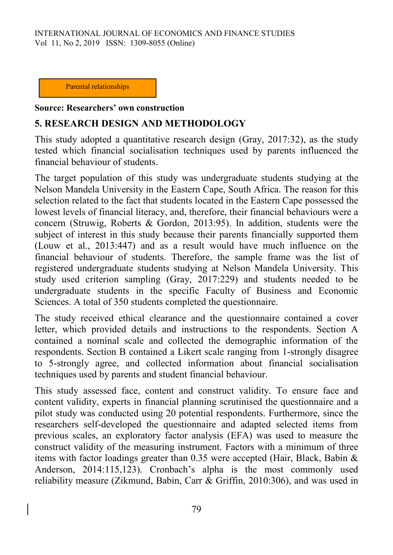INTERNATIONAL JOURNAL OF ECONOMICS AND FINANCE STUDIES Vol 11, No 2, 2019 ISSN: 1309-8055 (Online)

Parental relationships

#### **Source: Researchers' own construction**

### **5. RESEARCH DESIGN AND METHODOLOGY**

This study adopted a quantitative research design (Gray, 2017:32), as the study tested which financial socialisation techniques used by parents influenced the financial behaviour of students.

The target population of this study was undergraduate students studying at the Nelson Mandela University in the Eastern Cape, South Africa. The reason for this selection related to the fact that students located in the Eastern Cape possessed the lowest levels of financial literacy, and, therefore, their financial behaviours were a concern (Struwig, Roberts & Gordon, 2013:95). In addition, students were the subject of interest in this study because their parents financially supported them (Louw et al., 2013:447) and as a result would have much influence on the financial behaviour of students. Therefore, the sample frame was the list of registered undergraduate students studying at Nelson Mandela University. This study used criterion sampling (Gray, 2017:229) and students needed to be undergraduate students in the specific Faculty of Business and Economic Sciences. A total of 350 students completed the questionnaire.

The study received ethical clearance and the questionnaire contained a cover letter, which provided details and instructions to the respondents. Section A contained a nominal scale and collected the demographic information of the respondents. Section B contained a Likert scale ranging from 1-strongly disagree to 5-strongly agree, and collected information about financial socialisation techniques used by parents and student financial behaviour.

This study assessed face, content and construct validity. To ensure face and content validity, experts in financial planning scrutinised the questionnaire and a pilot study was conducted using 20 potential respondents. Furthermore, since the researchers self-developed the questionnaire and adapted selected items from previous scales, an exploratory factor analysis (EFA) was used to measure the construct validity of the measuring instrument. Factors with a minimum of three items with factor loadings greater than 0.35 were accepted (Hair, Black, Babin & Anderson, 2014:115,123). Cronbach's alpha is the most commonly used reliability measure (Zikmund, Babin, Carr & Griffin, 2010:306), and was used in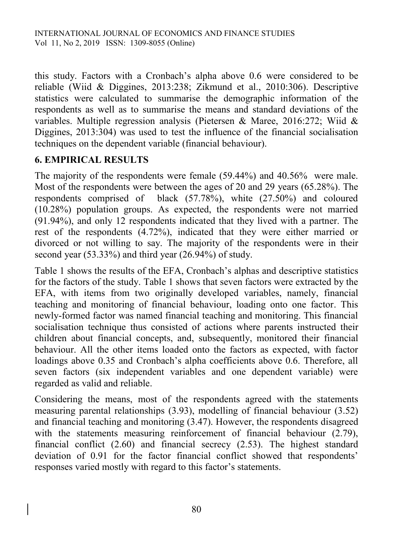this study. Factors with a Cronbach's alpha above 0.6 were considered to be reliable (Wiid & Diggines, 2013:238; Zikmund et al., 2010:306). Descriptive statistics were calculated to summarise the demographic information of the respondents as well as to summarise the means and standard deviations of the variables. Multiple regression analysis (Pietersen & Maree, 2016:272; Wiid & Diggines, 2013:304) was used to test the influence of the financial socialisation techniques on the dependent variable (financial behaviour).

# **6. EMPIRICAL RESULTS**

The majority of the respondents were female (59.44%) and 40.56% were male. Most of the respondents were between the ages of 20 and 29 years (65.28%). The respondents comprised of black (57.78%), white (27.50%) and coloured (10.28%) population groups. As expected, the respondents were not married (91.94%), and only 12 respondents indicated that they lived with a partner. The rest of the respondents (4.72%), indicated that they were either married or divorced or not willing to say. The majority of the respondents were in their second year (53.33%) and third year (26.94%) of study.

Table 1 shows the results of the EFA, Cronbach's alphas and descriptive statistics for the factors of the study. Table 1 shows that seven factors were extracted by the EFA, with items from two originally developed variables, namely, financial teaching and monitoring of financial behaviour, loading onto one factor. This newly-formed factor was named financial teaching and monitoring. This financial socialisation technique thus consisted of actions where parents instructed their children about financial concepts, and, subsequently, monitored their financial behaviour. All the other items loaded onto the factors as expected, with factor loadings above 0.35 and Cronbach's alpha coefficients above 0.6. Therefore, all seven factors (six independent variables and one dependent variable) were regarded as valid and reliable.

Considering the means, most of the respondents agreed with the statements measuring parental relationships (3.93), modelling of financial behaviour (3.52) and financial teaching and monitoring (3.47). However, the respondents disagreed with the statements measuring reinforcement of financial behaviour (2.79), financial conflict (2.60) and financial secrecy (2.53). The highest standard deviation of 0.91 for the factor financial conflict showed that respondents' responses varied mostly with regard to this factor's statements.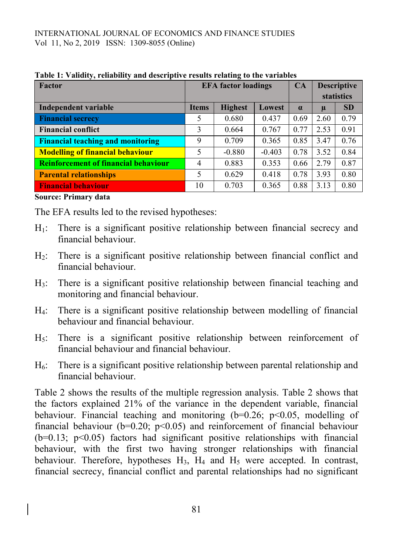### INTERNATIONAL JOURNAL OF ECONOMICS AND FINANCE STUDIES Vol 11, No 2, 2019 ISSN: 1309-8055 (Online)

| Factor                                      | <b>EFA</b> factor loadings |                |          | CA       | <b>Descriptive</b> |           |
|---------------------------------------------|----------------------------|----------------|----------|----------|--------------------|-----------|
|                                             |                            |                |          |          | <b>statistics</b>  |           |
| Independent variable                        | <b>Items</b>               | <b>Highest</b> | Lowest   | $\alpha$ | $\mu$              | <b>SD</b> |
| <b>Financial secrecy</b>                    | 5                          | 0.680          | 0.437    | 0.69     | 2.60               | 0.79      |
| <b>Financial conflict</b>                   | 3                          | 0.664          | 0.767    | 0.77     | 2.53               | 0.91      |
| <b>Financial teaching and monitoring</b>    | 9                          | 0.709          | 0.365    | 0.85     | 3.47               | 0.76      |
| <b>Modelling of financial behaviour</b>     | 5                          | $-0.880$       | $-0.403$ | 0.78     | 3.52               | 0.84      |
| <b>Reinforcement of financial behaviour</b> | 4                          | 0.883          | 0.353    | 0.66     | 2.79               | 0.87      |
| <b>Parental relationships</b>               | 5                          | 0.629          | 0.418    | 0.78     | 3.93               | 0.80      |
| <b>Financial behaviour</b>                  | 10                         | 0.703          | 0.365    | 0.88     | 3.13               | 0.80      |

**Table 1: Validity, reliability and descriptive results relating to the variables**

**Source: Primary data** 

The EFA results led to the revised hypotheses:

- H1: There is a significant positive relationship between financial secrecy and financial behaviour.
- H2: There is a significant positive relationship between financial conflict and financial behaviour.
- H3: There is a significant positive relationship between financial teaching and monitoring and financial behaviour.
- H4: There is a significant positive relationship between modelling of financial behaviour and financial behaviour.
- H5: There is a significant positive relationship between reinforcement of financial behaviour and financial behaviour.
- $H_6$ : There is a significant positive relationship between parental relationship and financial behaviour.

Table 2 shows the results of the multiple regression analysis. Table 2 shows that the factors explained 21% of the variance in the dependent variable, financial behaviour. Financial teaching and monitoring  $(b=0.26; p<0.05, \text{ modelling of})$ financial behaviour ( $b=0.20$ ;  $p<0.05$ ) and reinforcement of financial behaviour  $(b=0.13; p<0.05)$  factors had significant positive relationships with financial behaviour, with the first two having stronger relationships with financial behaviour. Therefore, hypotheses  $H_3$ ,  $H_4$  and  $H_5$  were accepted. In contrast, financial secrecy, financial conflict and parental relationships had no significant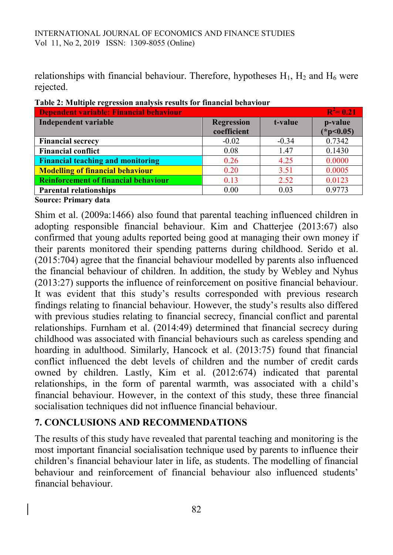relationships with financial behaviour. Therefore, hypotheses  $H_1$ ,  $H_2$  and  $H_6$  were rejected.

| Dependent variable: Financial behaviour     |                   |         |             |  |  |
|---------------------------------------------|-------------------|---------|-------------|--|--|
| Independent variable                        | <b>Regression</b> | t-value | p-value     |  |  |
|                                             | coefficient       |         | $(*p<0.05)$ |  |  |
| <b>Financial secrecy</b>                    | $-0.02$           | $-0.34$ | 0.7342      |  |  |
| <b>Financial conflict</b>                   | 0.08              | 1.47    | 0.1430      |  |  |
| <b>Financial teaching and monitoring</b>    | 0.26              | 4.25    | 0.0000      |  |  |
| <b>Modelling of financial behaviour</b>     | 0.20              | 3.51    | 0.0005      |  |  |
| <b>Reinforcement of financial behaviour</b> | 0.13              | 2.52    | 0.0123      |  |  |
| <b>Parental relationships</b>               | 0.00              | 0.03    | 0.9773      |  |  |

**Table 2: Multiple regression analysis results for financial behaviour**

**Source: Primary data** 

Shim et al. (2009a:1466) also found that parental teaching influenced children in adopting responsible financial behaviour. Kim and Chatterjee (2013:67) also confirmed that young adults reported being good at managing their own money if their parents monitored their spending patterns during childhood. Serido et al. (2015:704) agree that the financial behaviour modelled by parents also influenced the financial behaviour of children. In addition, the study by Webley and Nyhus (2013:27) supports the influence of reinforcement on positive financial behaviour. It was evident that this study's results corresponded with previous research findings relating to financial behaviour. However, the study's results also differed with previous studies relating to financial secrecy, financial conflict and parental relationships. Furnham et al. (2014:49) determined that financial secrecy during childhood was associated with financial behaviours such as careless spending and hoarding in adulthood. Similarly, Hancock et al. (2013:75) found that financial conflict influenced the debt levels of children and the number of credit cards owned by children. Lastly, Kim et al. (2012:674) indicated that parental relationships, in the form of parental warmth, was associated with a child's financial behaviour. However, in the context of this study, these three financial socialisation techniques did not influence financial behaviour.

# **7. CONCLUSIONS AND RECOMMENDATIONS**

The results of this study have revealed that parental teaching and monitoring is the most important financial socialisation technique used by parents to influence their children's financial behaviour later in life, as students. The modelling of financial behaviour and reinforcement of financial behaviour also influenced students' financial behaviour.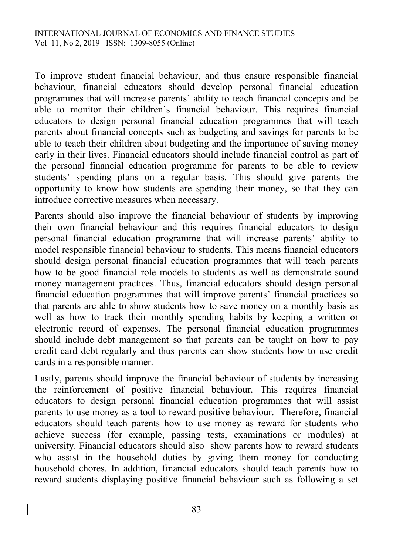To improve student financial behaviour, and thus ensure responsible financial behaviour, financial educators should develop personal financial education programmes that will increase parents' ability to teach financial concepts and be able to monitor their children's financial behaviour. This requires financial educators to design personal financial education programmes that will teach parents about financial concepts such as budgeting and savings for parents to be able to teach their children about budgeting and the importance of saving money early in their lives. Financial educators should include financial control as part of the personal financial education programme for parents to be able to review students' spending plans on a regular basis. This should give parents the opportunity to know how students are spending their money, so that they can introduce corrective measures when necessary.

Parents should also improve the financial behaviour of students by improving their own financial behaviour and this requires financial educators to design personal financial education programme that will increase parents' ability to model responsible financial behaviour to students. This means financial educators should design personal financial education programmes that will teach parents how to be good financial role models to students as well as demonstrate sound money management practices. Thus, financial educators should design personal financial education programmes that will improve parents' financial practices so that parents are able to show students how to save money on a monthly basis as well as how to track their monthly spending habits by keeping a written or electronic record of expenses. The personal financial education programmes should include debt management so that parents can be taught on how to pay credit card debt regularly and thus parents can show students how to use credit cards in a responsible manner.

Lastly, parents should improve the financial behaviour of students by increasing the reinforcement of positive financial behaviour. This requires financial educators to design personal financial education programmes that will assist parents to use money as a tool to reward positive behaviour. Therefore, financial educators should teach parents how to use money as reward for students who achieve success (for example, passing tests, examinations or modules) at university. Financial educators should also show parents how to reward students who assist in the household duties by giving them money for conducting household chores. In addition, financial educators should teach parents how to reward students displaying positive financial behaviour such as following a set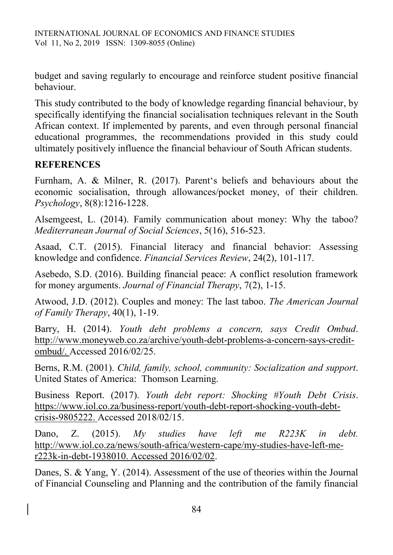budget and saving regularly to encourage and reinforce student positive financial behaviour.

This study contributed to the body of knowledge regarding financial behaviour, by specifically identifying the financial socialisation techniques relevant in the South African context. If implemented by parents, and even through personal financial educational programmes, the recommendations provided in this study could ultimately positively influence the financial behaviour of South African students.

### **REFERENCES**

Furnham, A. & Milner, R. (2017). Parent's beliefs and behaviours about the economic socialisation, through allowances/pocket money, of their children. *Psychology*, 8(8):1216-1228.

Alsemgeest, L. (2014). Family communication about money: Why the taboo? *Mediterranean Journal of Social Sciences*, 5(16), 516-523.

Asaad, C.T. (2015). Financial literacy and financial behavior: Assessing knowledge and confidence. *Financial Services Review*, 24(2), 101-117.

Asebedo, S.D. (2016). Building financial peace: A conflict resolution framework for money arguments. *Journal of Financial Therapy*, 7(2), 1-15.

Atwood, J.D. (2012). Couples and money: The last taboo. *The American Journal of Family Therapy*, 40(1), 1-19.

Barry, H. (2014). *Youth debt problems a concern, says Credit Ombud*. http://www.moneyweb.co.za/archive/youth-debt-problems-a-concern-says-creditombud/. Accessed 2016/02/25.

Berns, R.M. (2001). *Child, family, school, community: Socialization and support*. United States of America: Thomson Learning.

Business Report. (2017). *Youth debt report: Shocking #Youth Debt Crisis*. https://www.iol.co.za/business-report/youth-debt-report-shocking-youth-debtcrisis-9805222. Accessed 2018/02/15.

Dano, Z. (2015). *My studies have left me R223K in debt.* http://www.iol.co.za/news/south-africa/western-cape/my-studies-have-left-mer223k-in-debt-1938010. Accessed 2016/02/02.

Danes, S. & Yang, Y. (2014). Assessment of the use of theories within the Journal of Financial Counseling and Planning and the contribution of the family financial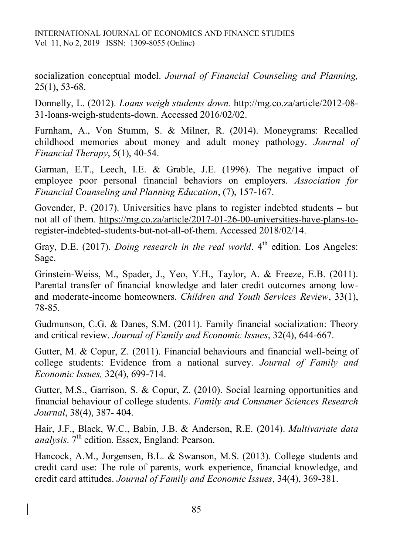socialization conceptual model. *Journal of Financial Counseling and Planning,* 25(1), 53-68.

Donnelly, L. (2012). *Loans weigh students down.* http://mg.co.za/article/2012-08- 31-loans-weigh-students-down. Accessed 2016/02/02.

Furnham, A., Von Stumm, S. & Milner, R. (2014). Moneygrams: Recalled childhood memories about money and adult money pathology. *Journal of Financial Therapy*, 5(1), 40-54.

Garman, E.T., Leech, I.E. & Grable, J.E. (1996). The negative impact of employee poor personal financial behaviors on employers. *Association for Financial Counseling and Planning Education*, (7), 157-167.

Govender, P. (2017). Universities have plans to register indebted students – but not all of them. https://mg.co.za/article/2017-01-26-00-universities-have-plans-toregister-indebted-students-but-not-all-of-them. Accessed 2018/02/14.

Gray, D.E. (2017). *Doing research in the real world*. 4<sup>th</sup> edition. Los Angeles: Sage.

Grinstein-Weiss, M., Spader, J., Yeo, Y.H., Taylor, A. & Freeze, E.B. (2011). Parental transfer of financial knowledge and later credit outcomes among lowand moderate-income homeowners. *Children and Youth Services Review*, 33(1), 78-85.

Gudmunson, C.G. & Danes, S.M. (2011). Family financial socialization: Theory and critical review. *Journal of Family and Economic Issues*, 32(4), 644-667.

Gutter, M. & Copur, Z. (2011). Financial behaviours and financial well-being of college students: Evidence from a national survey. *Journal of Family and Economic Issues,* 32(4), 699-714.

Gutter, M.S., Garrison, S. & Copur, Z. (2010). Social learning opportunities and financial behaviour of college students. *Family and Consumer Sciences Research Journal*, 38(4), 387- 404.

Hair, J.F., Black, W.C., Babin, J.B. & Anderson, R.E. (2014). *Multivariate data analysis*. 7<sup>th</sup> edition. Essex, England: Pearson.

Hancock, A.M., Jorgensen, B.L. & Swanson, M.S. (2013). College students and credit card use: The role of parents, work experience, financial knowledge, and credit card attitudes. *Journal of Family and Economic Issues*, 34(4), 369-381.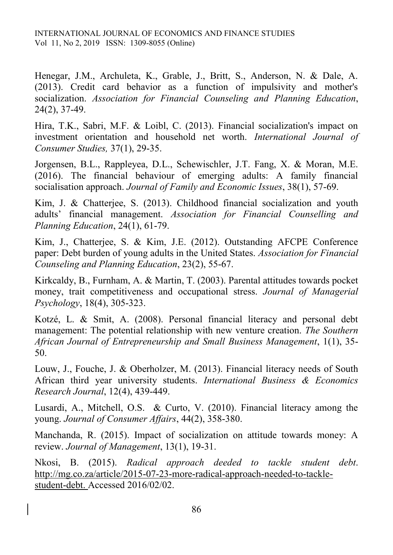Henegar, J.M., Archuleta, K., Grable, J., Britt, S., Anderson, N. & Dale, A. (2013). Credit card behavior as a function of impulsivity and mother's socialization. *Association for Financial Counseling and Planning Education*, 24(2), 37-49.

Hira, T.K., Sabri, M.F. & Loibl, C. (2013). Financial socialization's impact on investment orientation and household net worth. *International Journal of Consumer Studies,* 37(1), 29-35.

Jorgensen, B.L., Rappleyea, D.L., Schewischler, J.T. Fang, X. & Moran, M.E. (2016). The financial behaviour of emerging adults: A family financial socialisation approach. *Journal of Family and Economic Issues*, 38(1), 57-69.

Kim, J. & Chatterjee, S. (2013). Childhood financial socialization and youth adults' financial management. *Association for Financial Counselling and Planning Education*, 24(1), 61-79.

Kim, J., Chatterjee, S. & Kim, J.E. (2012). Outstanding AFCPE Conference paper: Debt burden of young adults in the United States. *Association for Financial Counseling and Planning Education*, 23(2), 55-67.

Kirkcaldy, B., Furnham, A. & Martin, T. (2003). Parental attitudes towards pocket money, trait competitiveness and occupational stress. *Journal of Managerial Psychology*, 18(4), 305-323.

Kotzé, L. & Smit, A. (2008). Personal financial literacy and personal debt management: The potential relationship with new venture creation. *The Southern African Journal of Entrepreneurship and Small Business Management*, 1(1), 35- 50.

Louw, J., Fouche, J. & Oberholzer, M. (2013). Financial literacy needs of South African third year university students. *International Business & Economics Research Journal*, 12(4), 439-449.

Lusardi, A., Mitchell, O.S. & Curto, V. (2010). Financial literacy among the young. *Journal of Consumer Affairs*, 44(2), 358-380.

Manchanda, R. (2015). Impact of socialization on attitude towards money: A review. *Journal of Management*, 13(1), 19-31.

Nkosi, B. (2015). *Radical approach deeded to tackle student debt*. http://mg.co.za/article/2015-07-23-more-radical-approach-needed-to-tacklestudent-debt. Accessed 2016/02/02.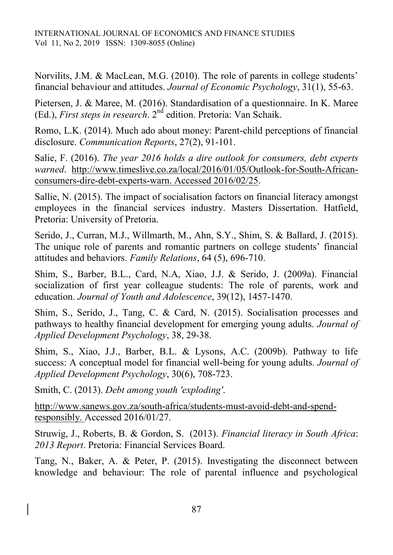Norvilits, J.M. & MacLean, M.G. (2010). The role of parents in college students' financial behaviour and attitudes. *Journal of Economic Psychology*, 31(1), 55-63.

Pietersen, J. & Maree, M. (2016). Standardisation of a questionnaire. In K. Maree (Ed.), *First steps in research*. 2nd edition. Pretoria: Van Schaik.

Romo, L.K. (2014). Much ado about money: Parent-child perceptions of financial disclosure. *Communication Reports*, 27(2), 91-101.

Salie, F. (2016). *The year 2016 holds a dire outlook for consumers, debt experts warned*. http://www.timeslive.co.za/local/2016/01/05/Outlook-for-South-Africanconsumers-dire-debt-experts-warn. Accessed 2016/02/25.

Sallie, N. (2015). The impact of socialisation factors on financial literacy amongst employees in the financial services industry. Masters Dissertation. Hatfield, Pretoria: University of Pretoria.

Serido, J., Curran, M.J., Willmarth, M., Ahn, S.Y., Shim, S. & Ballard, J. (2015). The unique role of parents and romantic partners on college students' financial attitudes and behaviors. *Family Relations*, 64 (5), 696-710.

Shim, S., Barber, B.L., Card, N.A, Xiao, J.J. & Serido, J. (2009a). Financial socialization of first year colleague students: The role of parents, work and education. *Journal of Youth and Adolescence*, 39(12), 1457-1470.

Shim, S., Serido, J., Tang, C. & Card, N. (2015). Socialisation processes and pathways to healthy financial development for emerging young adults. *Journal of Applied Development Psychology*, 38, 29-38.

Shim, S., Xiao, J.J., Barber, B.L. & Lysons, A.C. (2009b). Pathway to life success: A conceptual model for financial well-being for young adults. *Journal of Applied Development Psychology*, 30(6), 708-723.

Smith, C. (2013). *Debt among youth 'exploding'*.

http://www.sanews.gov.za/south-africa/students-must-avoid-debt-and-spendresponsibly. Accessed 2016/01/27.

Struwig, J., Roberts, B. & Gordon, S. (2013). *Financial literacy in South Africa*: *2013 Report*. Pretoria: Financial Services Board.

Tang, N., Baker, A. & Peter, P. (2015). Investigating the disconnect between knowledge and behaviour: The role of parental influence and psychological